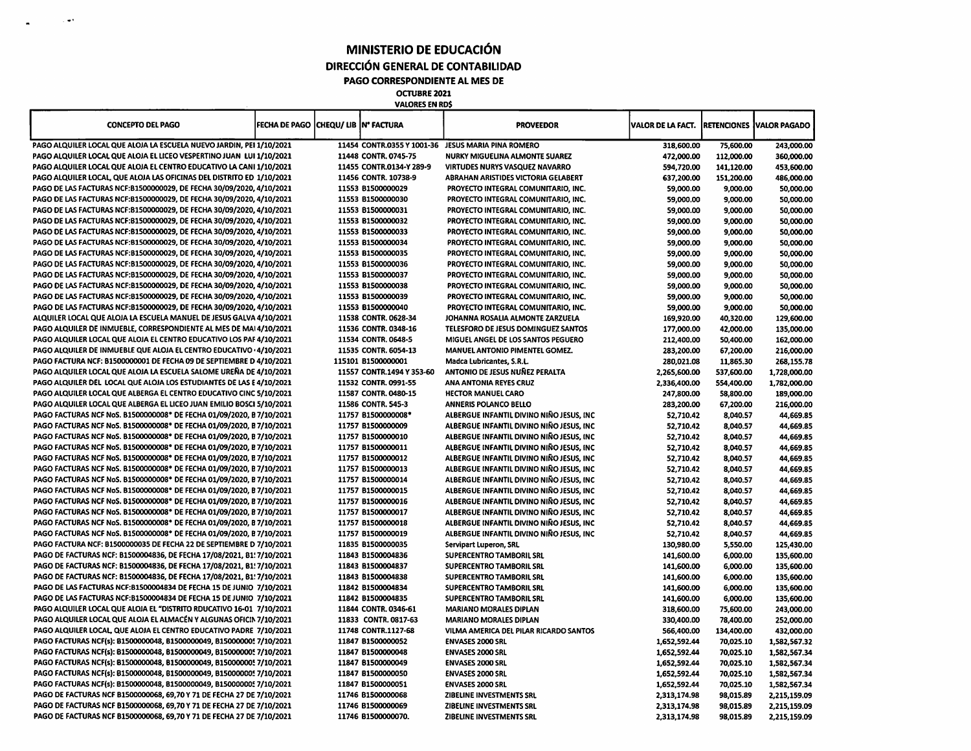**MINISTERIO DE EDUCACIÓN DIRECCIÓN GENERAL DE CONTABILIDAD PAGO CORRESPONDIENTE AL MES DE**

**O CTU BRE 2021 VALORES EN RD\$**

 $\bar{z}$  and

| <b>CONCEPTO DEL PAGO</b>                                                   | FECHA DE PAGO CHEQU/ LIB Nº FACTURA |                           | <b>PROVEEDOR</b>                                   | VALOR DE LA FACT. |            | <b>RETENCIONES VALOR PAGADO</b> |
|----------------------------------------------------------------------------|-------------------------------------|---------------------------|----------------------------------------------------|-------------------|------------|---------------------------------|
| PAGO ALQUILER LOCAL QUE ALOJA LA ESCUELA NUEVO JARDIN, PEI 1/10/2021       |                                     |                           | 11454 CONTR.0355 Y 1001-36 JESUS MARIA PINA ROMERO | 318,600.00        | 75,600.00  | 243,000.00                      |
| PAGO ALQUILER LOCAL QUE ALOJA EL LICEO VESPERTINO JUAN LUI 1/10/2021       |                                     | 11448 CONTR. 0745-75      | NURKY MIGUELINA ALMONTE SUAREZ                     | 472,000.00        | 112,000.00 | 360,000.00                      |
| PAGO ALQUILER LOCAL QUE ALOJA EL CENTRO EDUCATIVO LA CANI 1/10/2021        |                                     | 11455 CONTR.0134-Y 289-9  | <b>VIRTUDES NURYS VASQUEZ NAVARRO</b>              | 594,720.00        | 141,120.00 | 453,600.00                      |
| PAGO ALQUILER LOCAL, QUE ALOJA LAS OFICINAS DEL DISTRITO ED 1/10/2021      |                                     | 11456 CONTR. 10738-9      | ABRAHAN ARISTIDES VICTORIA GELABERT                | 637,200.00        | 151,200.00 | 486,000.00                      |
| PAGO DE LAS FACTURAS NCF:B1500000029, DE FECHA 30/09/2020, 4/10/2021       |                                     | 11553 B1500000029         | PROYECTO INTEGRAL COMUNITARIO, INC.                | 59,000.00         | 9,000.00   | 50,000.00                       |
| PAGO DE LAS FACTURAS NCF:B1500000029, DE FECHA 30/09/2020, 4/10/2021       |                                     | 11553 B1500000030         | PROYECTO INTEGRAL COMUNITARIO, INC.                | 59,000.00         | 9,000.00   | 50,000.00                       |
| PAGO DE LAS FACTURAS NCF:B1500000029, DE FECHA 30/09/2020, 4/10/2021       |                                     | 11553 B1500000031         | PROYECTO INTEGRAL COMUNITARIO, INC.                | 59,000.00         | 9,000.00   | 50,000.00                       |
| PAGO DE LAS FACTURAS NCF:B1500000029, DE FECHA 30/09/2020, 4/10/2021       |                                     | 11553 B1500000032         | PROYECTO INTEGRAL COMUNITARIO, INC.                | 59,000.00         | 9,000.00   | 50,000.00                       |
| PAGO DE LAS FACTURAS NCF:B1500000029, DE FECHA 30/09/2020, 4/10/2021       |                                     | 11553 B1500000033         |                                                    |                   |            |                                 |
| PAGO DE LAS FACTURAS NCF:B1500000029, DE FECHA 30/09/2020, 4/10/2021       |                                     |                           | PROYECTO INTEGRAL COMUNITARIO, INC.                | 59,000.00         | 9,000.00   | 50,000.00                       |
|                                                                            |                                     | 11553 B1500000034         | PROYECTO INTEGRAL COMUNITARIO, INC.                | 59,000.00         | 9,000.00   | 50,000.00                       |
| PAGO DE LAS FACTURAS NCF:B1500000029, DE FECHA 30/09/2020, 4/10/2021       |                                     | 11553 B1500000035         | PROYECTO INTEGRAL COMUNITARIO, INC.                | 59,000.00         | 9,000.00   | 50,000.00                       |
| PAGO DE LAS FACTURAS NCF:B1500000029, DE FECHA 30/09/2020, 4/10/2021       |                                     | 11553 81500000036         | PROYECTO INTEGRAL COMUNITARIO, INC.                | 59,000.00         | 9,000.00   | 50,000.00                       |
| PAGO DE LAS FACTURAS NCF:B1500000029, DE FECHA 30/09/2020, 4/10/2021       |                                     | 11553 B1500000037         | PROYECTO INTEGRAL COMUNITARIO, INC.                | 59,000.00         | 9,000.00   | 50,000.00                       |
| PAGO DE LAS FACTURAS NCF:B1500000029, DE FECHA 30/09/2020, 4/10/2021       |                                     | 11553 81500000038         | PROYECTO INTEGRAL COMUNITARIO, INC.                | 59,000.00         | 9,000.00   | 50,000.00                       |
| PAGO DE LAS FACTURAS NCF:B1500000029, DE FECHA 30/09/2020, 4/10/2021       |                                     | 11553 B1500000039         | PROYECTO INTEGRAL COMUNITARIO, INC.                | 59,000.00         | 9,000.00   | 50,000.00                       |
| PAGO DE LAS FACTURAS NCF:B1500000029, DE FECHA 30/09/2020, 4/10/2021       |                                     | 11553 B1500000040         | PROYECTO INTEGRAL COMUNITARIO, INC.                | 59,000.00         | 9,000.00   | 50,000.00                       |
| ALQUILER LOCAL QUE ALOJA LA ESCUELA MANUEL DE JESUS GALVA 4/10/2021        |                                     | 11538 CONTR. 0628-34      | JOHANNA ROSALIA ALMONTE ZARZUELA                   | 169,920.00        | 40,320.00  | 129,600.00                      |
| PAGO ALQUILER DE INMUEBLE, CORRESPONDIENTE AL MES DE MAI 4/10/2021         |                                     | 11536 CONTR. 0348-16      | TELESFORO DE JESUS DOMINGUEZ SANTOS                | 177,000.00        | 42,000.00  | 135,000.00                      |
| PAGO ALQUILER LOCAL QUE ALOJA EL CENTRO EDUCATIVO LOS PAF 4/10/2021        |                                     | 11534 CONTR, 0648-5       | MIGUEL ANGEL DE LOS SANTOS PEGUERO                 | 212,400.00        | 50,400.00  | 162,000.00                      |
| <b>PAGO ALQUILER DE INMUEBLE QUE ALOJA EL CENTRO EDUCATIVO · 4/10/2021</b> |                                     | 11535 CONTR. 6054-13      | <b>MANUEL ANTONIO PIMENTEL GOMEZ.</b>              | 283,200.00        | 67,200.00  | 216,000.00                      |
| PAGO FACTURA NCF: B1500000001 DE FECHA 09 DE SEPTIEMBRE D 4/10/2021        |                                     | 115101 B1500000001        | Madca Lubricantes, S.R.L.                          | 280,021.08        | 11,865.30  | 268,155.78                      |
| PAGO ALQUILER LOCAL QUE ALOJA LA ESCUELA SALOME UREÑA DE 4/10/2021         |                                     | 11557 CONTR.1494 Y 353-60 | ANTONIO DE JESUS NUÑEZ PERALTA                     | 2,265,600.00      | 537,600.00 | 1,728,000.00                    |
| PAGO ALQUILER DEL LOCAL QUE ALOJA LOS ESTUDIANTES DE LAS E 4/10/2021       |                                     | 11532 CONTR. 0991-55      | ANA ANTONIA REYES CRUZ                             | 2,336,400.00      | 554,400.00 | 1,782,000.00                    |
| PAGO ALQUILER LOCAL QUE ALBERGA EL CENTRO EDUCATIVO CINC 5/10/2021         |                                     | 11587 CONTR. 0480-15      | <b>HECTOR MANUEL CARO</b>                          | 247,800.00        | 58,800.00  | 189,000.00                      |
| PAGO ALQUILER LOCAL QUE ALBERGA EL LICEO JUAN EMILIO BOSCI 5/10/2021       |                                     | 11586 CONTR. 545-3        | <b>ANNERIS POLANCO BELLO</b>                       | 283,200.00        | 67,200.00  | 216,000.00                      |
| PAGO FACTURAS NCF NoS. B1500000008* DE FECHA 01/09/2020, B7/10/2021        |                                     | 11757 B1500000008*        | ALBERGUE INFANTIL DIVINO NINO JESUS, INC.          | 52,710.42         | 8,040.57   | 44,669.85                       |
| PAGO FACTURAS NCF NoS. B1500000008* DE FECHA 01/09/2020, B7/10/2021        |                                     | 11757 B1500000009         | ALBERGUE INFANTIL DIVINO NIÑO JESUS, INC           | 52,710.42         | 8,040.57   | 44,669.85                       |
| PAGO FACTURAS NCF NoS. B1500000008* DE FECHA 01/09/2020, B7/10/2021        |                                     | 11757 B1500000010         | ALBERGUE INFANTIL DIVINO NINO JESUS, INC           | 52,710.42         | 8,040.57   | 44,669.85                       |
| PAGO FACTURAS NCF NoS. B1500000008* DE FECHA 01/09/2020, B7/10/2021        |                                     | 11757 B1500000011         | ALBERGUE INFANTIL DIVINO NIÑO JESUS, INC           | 52,710.42         | 8,040.57   | 44,669.85                       |
| PAGO FACTURAS NCF NoS. B1500000008* DE FECHA 01/09/2020, B7/10/2021        |                                     | 11757 B1500000012         | ALBERGUE INFANTIL DIVINO NIÑO JESUS, INC           | 52,710.42         | 8,040.57   | 44,669.85                       |
| PAGO FACTURAS NCF NoS. B1500000008* DE FECHA 01/09/2020, B7/10/2021        |                                     | 11757 B1500000013         | ALBERGUE INFANTIL DIVINO NINO JESUS, INC.          | 52,710.42         | 8,040.57   | 44,669.85                       |
| PAGO FACTURAS NCF NoS. B1500000008* DE FECHA 01/09/2020, B7/10/2021        |                                     | 11757 B1500000014         | ALBERGUE INFANTIL DIVINO NIÑO JESUS, INC           | 52,710.42         | 8,040.57   | 44,669.85                       |
| PAGO FACTURAS NCF NoS. B1500000008* DE FECHA 01/09/2020, B7/10/2021        |                                     | 11757 B1500000015         | ALBERGUE INFANTIL DIVINO NINO JESUS, INC.          | 52,710.42         | 8,040.57   | 44,669.85                       |
| PAGO FACTURAS NCF NoS. 81500000008* DE FECHA 01/09/2020, B7/10/2021        |                                     | 11757 B1500000016         | ALBERGUE INFANTIL DIVINO NIÑO JESUS, INC           | 52,710.42         | 8,040.57   | 44,669.85                       |
| PAGO FACTURAS NCF NoS. B1500000008* DE FECHA 01/09/2020, B7/10/2021        |                                     | 11757 B1500000017         | ALBERGUE INFANTIL DIVINO NIÑO JESUS, INC           |                   |            |                                 |
| PAGO FACTURAS NCF NoS. B1500000008* DE FECHA 01/09/2020, B7/10/2021        |                                     | 11757 B1500000018         | ALBERGUE INFANTIL DIVINO NIÑO JESUS, INC           | 52,710.42         | 8,040.57   | 44,669.85                       |
| PAGO FACTURAS NCF NoS. B1500000008* DE FECHA 01/09/2020. B 7/10/2021       |                                     |                           |                                                    | 52,710.42         | 8,040.57   | 44,669.85                       |
|                                                                            |                                     | 11757 B1500000019         | ALBERGUE INFANTIL DIVINO NIÑO JESUS, INC           | 52,710.42         | 8,040.57   | 44,669.85                       |
| PAGO FACTURA NCF: B1500000035 DE FECHA 22 DE SEPTIEMBRE D 7/10/2021        |                                     | 11835 B1500000035         | Servipart Luperon, SRL                             | 130,980.00        | 5,550.00   | 125,430.00                      |
| PAGO DE FACTURAS NCF: B1500004836, DE FECHA 17/08/2021, 81! 7/10/2021      |                                     | 11843 B1500004836         | <b>SUPERCENTRO TAMBORIL SRL</b>                    | 141,600.00        | 6,000.00   | 135,600.00                      |
| PAGO DE FACTURAS NCF: B1500004836, DE FECHA 17/08/2021, B1: 7/10/2021      |                                     | 11843 B1500004837         | <b>SUPERCENTRO TAMBORIL SRL</b>                    | 141,600.00        | 6,000.00   | 135,600.00                      |
| PAGO DE FACTURAS NCF: B1500004836, DE FECHA 17/08/2021, B1! 7/10/2021      |                                     | 11843 B1500004838         | <b>SUPERCENTRO TAMBORIL SRL</b>                    | 141,600.00        | 6,000.00   | 135,600.00                      |
| PAGO DE LAS FACTURAS NCF: 81500004834 DE FECHA 15 DE JUNIO 7/10/2021       |                                     | 11842 B1500004834         | <b>SUPERCENTRO TAMBORIL SRL</b>                    | 141,600.00        | 6,000.00   | 135,600.00                      |
| PAGO DE LAS FACTURAS NCF:B1500004834 DE FECHA 15 DE JUNIO 7/10/2021        |                                     | 11842 B1500004835         | <b>SUPERCENTRO TAMBORIL SRL</b>                    | 141,600.00        | 6,000.00   | 135,600.00                      |
| PAGO ALQUILER LOCAL QUE ALOJA EL "DISTRITO RDUCATIVO 16-01 7/10/2021       |                                     | 11844 CONTR. 0346-61      | <b>MARIANO MORALES DIPLAN</b>                      | 318,600.00        | 75,600.00  | 243,000.00                      |
| PAGO ALQUILER LOCAL QUE ALOJA EL ALMACÉN Y ALGUNAS OFICIN 7/10/2021        |                                     | 11833 CONTR. 0817-63      | <b>MARIANO MORALES DIPLAN</b>                      | 330,400.00        | 78,400.00  | 252,000.00                      |
| PAGO ALQUILER LOCAL, QUE ALOJA EL CENTRO EDUCATIVO PADRE 7/10/2021         |                                     | 11748 CONTR.1127-68       | VILMA AMERICA DEL PILAR RICARDO SANTOS             | 566,400.00        | 134,400.00 | 432,000.00                      |
| PAGO FACTURAS NCF(s): B1500000048, B1500000049, B150000005 7/10/2021       |                                     | 11847 B1500000052         | <b>ENVASES 2000 SRL</b>                            | 1,652,592.44      | 70,025.10  | 1,582,567.32                    |
| PAGO FACTURAS NCF(s): B1500000048, B1500000049, B150000005 7/10/2021       |                                     | 11847 B1500000048         | <b>ENVASES 2000 SRL</b>                            | 1,652,592.44      | 70,025.10  | 1,582,567.34                    |
| PAGO FACTURAS NCF(s): B1500000048, B1500000049, B150000005 7/10/2021       |                                     | 11847 81500000049         | <b>ENVASES 2000 SRL</b>                            | 1,652,592.44      | 70,025.10  | 1,582,567.34                    |
| PAGO FACTURAS NCF(s): B1500000048, B1500000049, B150000005 7/10/2021       |                                     | 11847 B1500000050         | <b>ENVASES 2000 SRL</b>                            | 1,652,592.44      | 70,025.10  | 1,582,567.34                    |
| PAGO FACTURAS NCF(s): B1500000048, B1500000049, B150000005 7/10/2021       |                                     | 11847 B1500000051         | <b>ENVASES 2000 SRL</b>                            | 1,652,592.44      | 70,025.10  | 1,582,567.34                    |
| PAGO DE FACTURAS NCF B1500000068, 69,70 Y 71 DE FECHA 27 DE 7/10/2021      |                                     | 11746 B1500000068         | ZIBELINE INVESTMENTS SRL                           | 2,313,174.98      | 98,015.89  | 2,215,159.09                    |
| PAGO DE FACTURAS NCF B1500000068, 69,70 Y 71 DE FECHA 27 DE 7/10/2021      |                                     | 11746 B1500000069         | ZIBELINE INVESTMENTS SRL                           | 2,313,174.98      | 98,015.89  | 2,215,159.09                    |
| PAGO DE FACTURAS NCF B1500000068, 69,70 Y 71 DE FECHA 27 DE 7/10/2021      |                                     | 11746 B1500000070.        | ZIBELINE INVESTMENTS SRL                           | 2,313,174.98      | 98,015.89  | 2,215,159.09                    |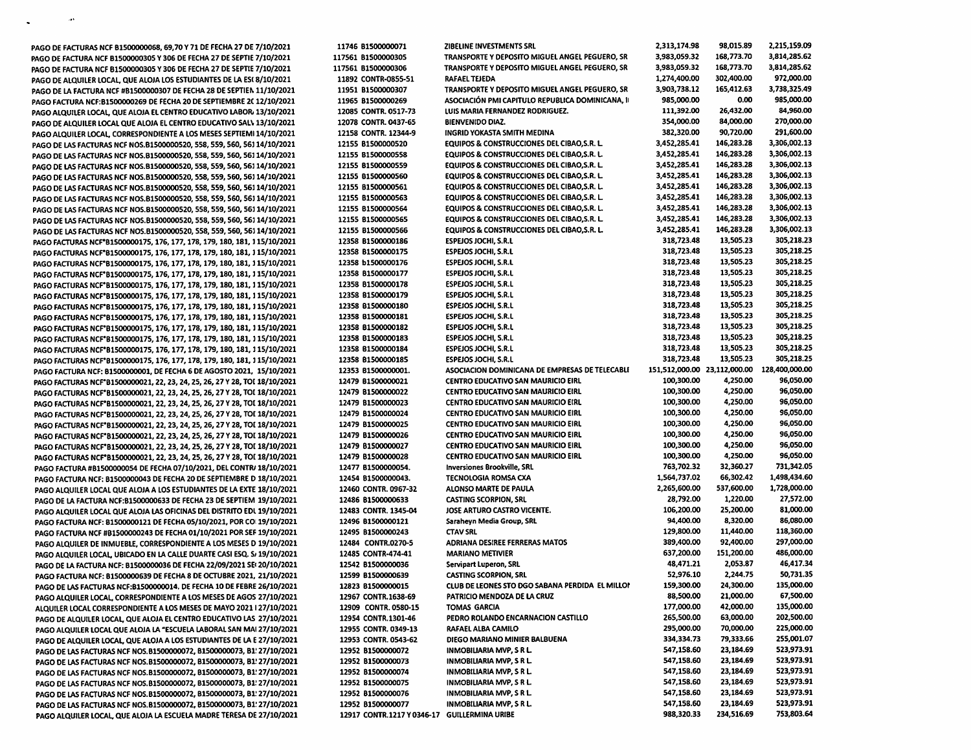| PAGO DE FACTURAS NCF B1500000068, 69,70 Y 71 DE FECHA 27 DE 7/10/2021      | 11746 B1500000071                            | ZIBELINE INVESTMENTS SRL                               | 2,313,174.98                 | 98,015.89  | 2,215,159.09   |
|----------------------------------------------------------------------------|----------------------------------------------|--------------------------------------------------------|------------------------------|------------|----------------|
| PAGO DE FACTURA NCF B1500000305 Y 306 DE FECHA 27 DE SEPTIE 7/10/2021      | 117561 B1500000305                           | <b>TRANSPORTE Y DEPOSITO MIGUEL ANGEL PEGUERO, SR</b>  | 3,983,059.32                 | 168,773.70 | 3,814,285.62   |
| PAGO DE FACTURA NCF B1500000305 Y 306 DE FECHA 27 DE SEPTIE 7/10/2021      | 117561 B1500000306                           | TRANSPORTE Y DEPOSITO MIGUEL ANGEL PEGUERO, SR         | 3,983,059.32                 | 168,773.70 | 3,814,285.62   |
| PAGO DE ALQUILER LOCAL, QUE ALOJA LOS ESTUDIANTES DE LA ESC 8/10/2021      | 11892 CONTR-0855-51                          | RAFAEL TEJEDA                                          | 1,274,400.00                 | 302,400.00 | 972,000.00     |
| PAGO DE LA FACTURA NCF #B1500000307 DE FECHA 28 DE SEPTIEN 11/10/2021      | 11951 B1500000307                            | TRANSPORTE Y DEPOSITO MIGUEL ANGEL PEGUERO, SR         | 3,903,738.12                 | 165,412.63 | 3,738,325.49   |
| PAGO FACTURA NCF:B1500000269 DE FECHA 20 DE SEPTIEMBRE 2C 12/10/2021       | 11965 B1500000269                            | ASOCIACIÓN PMI CAPITULO REPUBLICA DOMINICANA, II       | 985,000.00                   | 0.00       | 985,000.00     |
| PAGO ALQUILER LOCAL, QUE ALOJA EL CENTRO EDUCATIVO LABOR, 13/10/2021       | 12085 CONTR. 0517-73                         | LUIS MARIA FERNANDEZ RODRIGUEZ.                        | 111,392.00                   | 26,432.00  | 84,960.00      |
|                                                                            |                                              | <b>BIENVENIDO DIAZ.</b>                                | 354,000.00                   | 84,000.00  | 270,000.00     |
| PAGO DE ALQUILER LOCAL QUE ALOJA EL CENTRO EDUCATIVO SALV 13/10/2021       | 12078 CONTR. 0437-65                         |                                                        | 382,320.00                   | 90,720.00  | 291,600.00     |
| PAGO ALQUILER LOCAL, CORRESPONDIENTE A LOS MESES SEPTIEMI 14/10/2021       | 12158 CONTR. 12344-9                         | INGRID YOKASTA SMITH MEDINA                            |                              |            |                |
| PAGO DE LAS FACTURAS NCF NOS.B1500000520, 558, 559, 560, 561 14/10/2021    | 12155 B1500000520                            | <b>EQUIPOS &amp; CONSTRUCCIONES DEL CIBAO, S.R. L.</b> | 3,452,285.41                 | 146,283.28 | 3,306,002.13   |
| PAGO DE LAS FACTURAS NCF NOS.B1500000520, 558, 559, 560, 561 14/10/2021    | 12155 B1500000558                            | <b>EQUIPOS &amp; CONSTRUCCIONES DEL CIBAO.S.R. L.</b>  | 3,452,285.41                 | 146,283.28 | 3,306,002.13   |
| PAGO DE LAS FACTURAS NCF NOS.B1500000520, 558, 559, 560, 561 14/10/2021    | 12155 B1500000559                            | <b>EQUIPOS &amp; CONSTRUCCIONES DEL CIBAO, S.R. L.</b> | 3,452,285.41                 | 146,283.28 | 3,306,002.13   |
| PAGO DE LAS FACTURAS NCF NOS.B1500000520, 558, 559, 560, 561 14/10/2021    | 12155 81500000560                            | <b>EQUIPOS &amp; CONSTRUCCIONES DEL CIBAO, S.R. L.</b> | 3,452,285.41                 | 146,283.28 | 3,306,002.13   |
| PAGO DE LAS FACTURAS NCF NOS.B1500000520, 558, 559, 560, 561 14/10/2021    | 12155 B1500000561                            | EQUIPOS & CONSTRUCCIONES DEL CIBAO, S.R. L.            | 3,452,285.41                 | 146,283.28 | 3,306,002.13   |
| PAGO DE LAS FACTURAS NCF NOS.B1500000520, 558, 559, 560, 561 14/10/2021    | 12155 B1500000563                            | <b>EQUIPOS &amp; CONSTRUCCIONES DEL CIBAO,S.R. L.</b>  | 3,452,285.41                 | 146,283.28 | 3,306,002.13   |
| PAGO DE LAS FACTURAS NCF NOS.B1500000520, 558, 559, 560, 561 14/10/2021    | 12155 B1500000564                            | <b>EQUIPOS &amp; CONSTRUCCIONES DEL CIBAO, S.R. L.</b> | 3,452,285.41                 | 146,283.28 | 3,306,002.13   |
| PAGO DE LAS FACTURAS NCF NOS.B1500000520, 558, 559, 560, 561 14/10/2021    | 12155 81500000565                            | <b>EQUIPOS &amp; CONSTRUCCIONES DEL CIBAO, S.R. L.</b> | 3,452,285.41                 | 146,283.28 | 3,306,002.13   |
| PAGO DE LAS FACTURAS NCF NOS.B1500000520, 558, 559, 560, 561 14/10/2021    | 12155 B1500000566                            | <b>EQUIPOS &amp; CONSTRUCCIONES DEL CIBAO.S.R. L.</b>  | 3,452,285.41                 | 146,283.28 | 3,306,002.13   |
| PAGO FACTURAS NCF*B1500000175, 176, 177, 178, 179, 180, 181, 115/10/2021   | 12358 B1500000186                            | ESPEJOS JOCHI, S.R.L                                   | 318,723.48                   | 13,505.23  | 305,218.23     |
| PAGO FACTURAS NCF*B1500000175, 176, 177, 178, 179, 180, 181, 115/10/2021   | 12358 B1500000175                            | <b>ESPEJOS JOCHI, S.R.L</b>                            | 318,723.48                   | 13,505.23  | 305,218.25     |
| PAGO FACTURAS NCF*B1500000175, 176, 177, 178, 179, 180, 181, 115/10/2021   | 12358 b1500000176                            | <b>ESPEJOS JOCHI, S.R.L</b>                            | 318,723.48                   | 13,505.23  | 305,218.25     |
| PAGO FACTURAS NCF*B1500000175, 176, 177, 178, 179, 180, 181, 115/10/2021   | 12358 B1500000177                            | <b>ESPEJOS JOCHI, S.R.L</b>                            | 318,723.48                   | 13,505.23  | 305,218.25     |
|                                                                            | 12358 81500000178                            | <b>ESPEJOS JOCHI, S.R.L</b>                            | 318,723.48                   | 13,505.23  | 305,218.25     |
| PAGO FACTURAS NCF*B1500000175, 176, 177, 178, 179, 180, 181, 115/10/2021   | 12358 81500000179                            | <b>ESPEJOS JOCHI, S.R.L</b>                            | 318,723.48                   | 13,505.23  | 305,218.25     |
| PAGO FACTURAS NCF*B1500000175, 176, 177, 178, 179, 180, 181, 115/10/2021   |                                              |                                                        |                              |            | 305,218.25     |
| PAGO FACTURAS NCF*B1500000175, 176, 177, 178, 179, 180, 181, 115/10/2021   | 12358 81500000180                            | <b>ESPEIOS JOCHI, S.R.L</b>                            | 318,723.48                   | 13,505.23  |                |
| PAGO FACTURAS NCF*B1500000175, 176, 177, 178, 179, 180, 181, 115/10/2021   | 12358 B1500000181                            | <b>ESPEJOS JOCHI, S.R.L</b>                            | 318,723.48                   | 13,505.23  | 305,218.25     |
| PAGO FACTURAS NCF*B1500000175, 176, 177, 178, 179, 180, 181, 115/10/2021   | 12358 B1500000182                            | ESPEJOS JOCHI, S.R.L                                   | 318,723.48                   | 13,505.23  | 305,218.25     |
| PAGO FACTURAS NCF*B1500000175, 176, 177, 178, 179, 180, 181, 115/10/2021   | 12358 B1500000183                            | <b>ESPEJOS JOCHI, S.R.L</b>                            | 318,723.48                   | 13,505.23  | 305,218.25     |
| PAGO FACTURAS NCF*B1500000175, 176, 177, 178, 179, 180, 181, 115/10/2021   | 12358 81500000184                            | <b>ESPEJOS JOCHI, S.R.L</b>                            | 318,723.48                   | 13,505.23  | 305,218.25     |
| PAGO FACTURAS NCF*B1500000175, 176, 177, 178, 179, 180, 181, 115/10/2021   | 12358 81500000185                            | <b>ESPEJOS JOCHI, S.R.L</b>                            | 318,723.48                   | 13,505.23  | 305,218.25     |
| PAGO FACTURA NCF: B1500000001, DE FECHA 6 DE AGOSTO 2021, 15/10/2021       | 12353 B1500000001.                           | ASOCIACION DOMINICANA DE EMPRESAS DE TELECABLI         | 151,512,000.00 23,112,000.00 |            | 128,400,000.00 |
| PAGO FACTURAS NCF*B1500000021, 22, 23, 24, 25, 26, 27 Y 28, TOI 18/10/2021 | 12479 81500000021                            | <b>CENTRO EDUCATIVO SAN MAURICIO EIRL</b>              | 100,300.00                   | 4,250.00   | 96,050.00      |
| PAGO FACTURAS NCF*B1500000021, 22, 23, 24, 25, 26, 27 Y 28, TOI 18/10/2021 | 12479 B1500000022                            | <b>CENTRO EDUCATIVO SAN MAURICIO EIRL</b>              | 100,300.00                   | 4,250.00   | 96,050.00      |
| PAGO FACTURAS NCF*B1500000021, 22, 23, 24, 25, 26, 27 Y 28, TOI 18/10/2021 | 12479 B1500000023                            | <b>CENTRO EDUCATIVO SAN MAURICIO EIRL</b>              | 100,300.00                   | 4,250.00   | 96,050.00      |
| PAGO FACTURAS NCF*B1500000021, 22, 23, 24, 25, 26, 27 Y 28, TOI 18/10/2021 | 12479 B1500000024                            | <b>CENTRO EDUCATIVO SAN MAURICIO EIRL</b>              | 100,300.00                   | 4,250.00   | 96,050.00      |
| PAGO FACTURAS NCF*B1500000021, 22, 23, 24, 25, 26, 27 Y 28, TOI 18/10/2021 | 12479 B1500000025                            | <b>CENTRO EDUCATIVO SAN MAURICIO EIRL</b>              | 100,300.00                   | 4,250.00   | 96,050.00      |
| PAGO FACTURAS NCF*B1500000021, 22, 23, 24, 25, 26, 27 Y 28, TOI 18/10/2021 | 12479 B1500000026                            | <b>CENTRO EDUCATIVO SAN MAURICIO EIRL</b>              | 100,300.00                   | 4,250.00   | 96,050.00      |
| PAGO FACTURAS NCF*B1500000021, 22, 23, 24, 25, 26, 27 Y 28, TOI 18/10/2021 | 12479 81500000027                            | <b>CENTRO EDUCATIVO SAN MAURICIO EIRL</b>              | 100,300.00                   | 4,250.00   | 96,050.00      |
| PAGO FACTURAS NCF*B1500000021, 22, 23, 24, 25, 26, 27 Y 28, TOI 18/10/2021 | 12479 81500000028                            | <b>CENTRO EDUCATIVO SAN MAURICIO EIRL</b>              | 100,300.00                   | 4,250.00   | 96,050.00      |
| PAGO FACTURA #B1500000054 DE FECHA 07/10/2021, DEL CONTR/ 18/10/2021       | 12477 B1500000054.                           | <b>Inversiones Brookville, SRL</b>                     | 763,702.32                   | 32,360.27  | 731,342.05     |
| PAGO FACTURA NCF: B1500000043 DE FECHA 20 DE SEPTIEMBRE D 18/10/2021       | 12454 81500000043.                           | TECNOLOGIA ROMSA CXA                                   | 1,564,737.02                 | 66,302.42  | 1,498,434.60   |
| PAGO ALQUILER LOCAL QUE ALOJA A LOS ESTUDIANTES DE LA EXTE 18/10/2021      | 12460 CONTR. 0967-32                         | ALONSO MARTE DE PAULA                                  | 2,265,600.00                 | 537,600.00 | 1,728,000.00   |
|                                                                            | 12486 B1500000633                            | <b>CASTING SCORPION, SRL</b>                           | 28,792.00                    | 1,220.00   | 27,572.00      |
| PAGO DE LA FACTURA NCF:B1500000633 DE FECHA 23 DE SEPTIEM 19/10/2021       |                                              | JOSE ARTURO CASTRO VICENTE.                            | 106,200.00                   | 25,200.00  | 81,000.00      |
| PAGO ALQUILER LOCAL QUE ALOJA LAS OFICINAS DEL DISTRITO EDL 19/10/2021     | 12483 CONTR. 1345-04                         |                                                        | 94,400.00                    | 8,320.00   | 86,080.00      |
| PAGO FACTURA NCF: 81500000121 DE FECHA 05/10/2021, POR COI 19/10/2021      | 12496 B1500000121                            | Saraheyn Media Group, SRL                              |                              |            |                |
| PAGO FACTURA NCF #B1500000243 DE FECHA 01/10/2021 POR SEF 19/10/2021       | 12495 B1500000243                            | <b>CTAV SRL</b>                                        | 129,800.00                   | 11,440.00  | 118,360.00     |
| PAGO ALQUILER DE INMUEBLE, CORRESPONDIENTE A LOS MESES D 19/10/2021        | 12484 CONTR.0270-5                           | <b>ADRIANA DESIREE FERRERAS MATOS</b>                  | 389,400.00                   | 92,400.00  | 297,000.00     |
| PAGO ALQUILER LOCAL, UBICADO EN LA CALLE DUARTE CASI ESQ. S. 19/10/2021    | 12485 CONTR-474-41                           | <b>MARIANO METIVIER</b>                                | 637,200.00                   | 151,200.00 | 486,000.00     |
| PAGO DE LA FACTURA NCF: B1500000036 DE FECHA 22/09/2021 SE 20/10/2021      | 12542 81500000036                            | Servipart Luperon, SRL                                 | 48,471.21                    | 2,053.87   | 46,417.34      |
| PAGO FACTURA NCF: B1500000639 DE FECHA 8 DE OCTUBRE 2021, 21/10/2021       | 12599 B1500000639                            | <b>CASTING SCORPION, SRL</b>                           | 52,976.10                    | 2,244.75   | 50,731.35      |
| PAGO DE LAS FACTURAS NCF:B1500000014. DE FECHA 10 DE FEBRE 26/10/2021      | 12823 B1500000015                            | CLUB DE LEONES STO DGO SABANA PERDIDA EL MILLOP        | 159,300.00                   | 24,300.00  | 135,000.00     |
| PAGO ALQUILER LOCAL, CORRESPONDIENTE A LOS MESES DE AGOS 27/10/2021        | 12967 CONTR.1638-69                          | PATRICIO MENDOZA DE LA CRUZ                            | 88,500.00                    | 21,000.00  | 67,500.00      |
| ALQUILER LOCAL CORRESPONDIENTE A LOS MESES DE MAYO 2021   27/10/2021       | 12909 CONTR. 0580-15                         | TOMAS GARCIA                                           | 177,000.00                   | 42,000.00  | 135,000.00     |
| PAGO DE ALQUILER LOCAL, QUE ALOJA EL CENTRO EDUCATIVO LAS 27/10/2021       | 12954 CONTR.1301-46                          | PEDRO ROLANDO ENCARNACION CASTILLO                     | 265,500.00                   | 63,000.00  | 202,500.00     |
| PAGO ALQUILER LOCAL QUE ALOJA LA "ESCUELA LABORAL SAN MAI 27/10/2021       | 12955 CONTR. 0349-13                         | RAFAEL ALBA CAMILO                                     | 295,000.00                   | 70,000.00  | 225,000.00     |
| PAGO DE ALQUILER LOCAL, QUE ALOJA A LOS ESTUDIANTES DE LA E 27/10/2021     | 12953 CONTR. 0543-62                         | DIEGO MARIANO MINIER BALBUENA                          | 334,334.73                   | 79,333.66  | 255,001.07     |
| PAGO DE LAS FACTURAS NCF NOS.B1500000072, B1500000073, B1! 27/10/2021      | 12952 B1500000072                            | <b>INMOBILIARIA MVP, S R L.</b>                        | 547,158.60                   | 23,184.69  | 523,973.91     |
| PAGO DE LAS FACTURAS NCF NOS.B1500000072, B1500000073, B1! 27/10/2021      | 12952 B1500000073                            | <b>INMOBILIARIA MVP, S R L.</b>                        | 547,158.60                   | 23,184.69  | 523,973.91     |
| PAGO DE LAS FACTURAS NCF NOS.B1500000072, B1500000073, B1! 27/10/2021      | 12952 B1500000074                            | <b>INMOBILIARIA MVP, S R L.</b>                        | 547,158.60                   | 23,184.69  | 523,973.91     |
| PAGO DE LAS FACTURAS NCF NOS.B1500000072, B1500000073, B1! 27/10/2021      | 12952 B1500000075                            | <b>INMOBILIARIA MVP, S R L.</b>                        | 547,158.60                   | 23,184.69  | 523,973.91     |
| PAGO DE LAS FACTURAS NCF NOS.B1500000072, B1500000073, B1: 27/10/2021      | 12952 81500000076                            | <b>INMOBILIARIA MVP, S R L.</b>                        | 547,158.60                   | 23,184.69  | 523,973.91     |
| PAGO DE LAS FACTURAS NCF NOS.B1500000072, B1500000073, B1! 27/10/2021      | 12952 B1500000077                            | <b>INMOBILIARIA MVP, S R L.</b>                        | 547,158.60                   | 23,184.69  | 523,973.91     |
| PAGO ALQUILER LOCAL, QUE ALOJA LA ESCUELA MADRE TERESA DE 27/10/2021       | 12917 CONTR.1217 Y 0346-17 GUILLERMINA URIBE |                                                        | 988,320.33                   | 234,516.69 | 753,803.64     |
|                                                                            |                                              |                                                        |                              |            |                |

 $\sim$  10  $\pm$ 

 $\bullet$